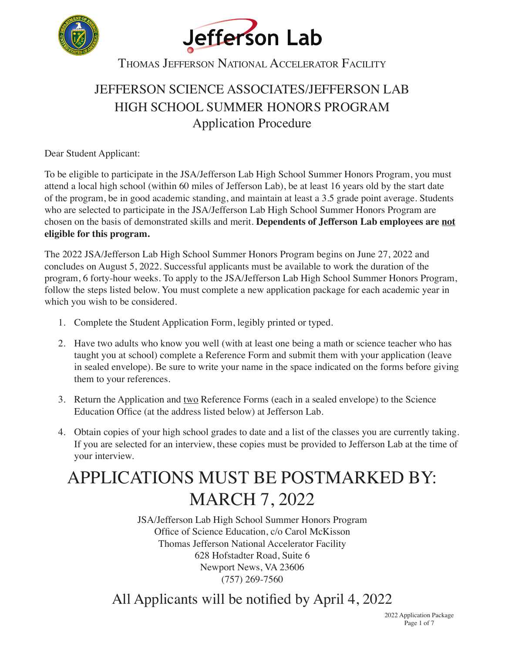



Thomas Jefferson National Accelerator Facility

## JEFFERSON SCIENCE ASSOCIATES/JEFFERSON LAB HIGH SCHOOL SUMMER HONORS PROGRAM Application Procedure

Dear Student Applicant:

To be eligible to participate in the JSA/Jefferson Lab High School Summer Honors Program, you must attend a local high school (within 60 miles of Jefferson Lab), be at least 16 years old by the start date of the program, be in good academic standing, and maintain at least a 3.5 grade point average. Students who are selected to participate in the JSA/Jefferson Lab High School Summer Honors Program are chosen on the basis of demonstrated skills and merit. **Dependents of Jefferson Lab employees are not eligible for this program.**

The 2022 JSA/Jefferson Lab High School Summer Honors Program begins on June 27, 2022 and concludes on August 5, 2022. Successful applicants must be available to work the duration of the program, 6 forty-hour weeks. To apply to the JSA/Jefferson Lab High School Summer Honors Program, follow the steps listed below. You must complete a new application package for each academic year in which you wish to be considered.

- 1. Complete the Student Application Form, legibly printed or typed.
- 2. Have two adults who know you well (with at least one being a math or science teacher who has taught you at school) complete a Reference Form and submit them with your application (leave in sealed envelope). Be sure to write your name in the space indicated on the forms before giving them to your references.
- 3. Return the Application and two Reference Forms (each in a sealed envelope) to the Science Education Office (at the address listed below) at Jefferson Lab.
- 4. Obtain copies of your high school grades to date and a list of the classes you are currently taking. If you are selected for an interview, these copies must be provided to Jefferson Lab at the time of your interview.

## APPLICATIONS MUST BE POSTMARKED BY: MARCH 7, 2022

JSA/Jefferson Lab High School Summer Honors Program Office of Science Education, c/o Carol McKisson Thomas Jefferson National Accelerator Facility 628 Hofstadter Road, Suite 6 Newport News, VA 23606 (757) 269-7560

All Applicants will be notified by April 4, 2022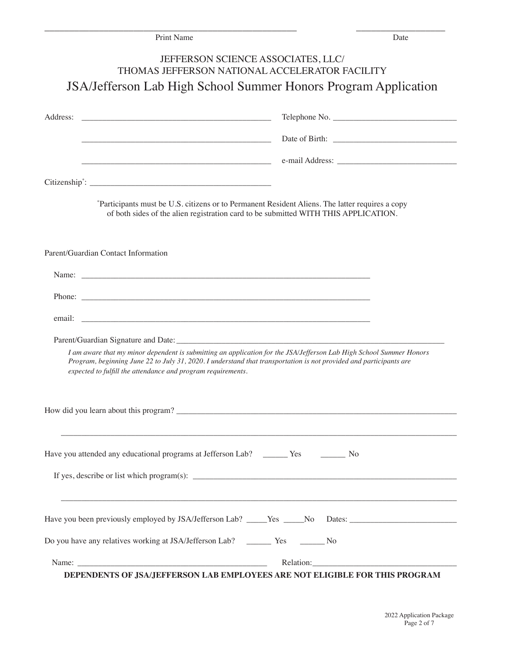| Print Name                                                                                                           | Date                                                                                                                                                                                   |
|----------------------------------------------------------------------------------------------------------------------|----------------------------------------------------------------------------------------------------------------------------------------------------------------------------------------|
|                                                                                                                      | JEFFERSON SCIENCE ASSOCIATES, LLC/<br>THOMAS JEFFERSON NATIONAL ACCELERATOR FACILITY                                                                                                   |
|                                                                                                                      | JSA/Jefferson Lab High School Summer Honors Program Application                                                                                                                        |
| Address:                                                                                                             |                                                                                                                                                                                        |
| <u> 2000 - 2000 - 2000 - 2000 - 2000 - 2000 - 2000 - 2000 - 2000 - 2000 - 2000 - 2000 - 2000 - 2000 - 2000 - 200</u> |                                                                                                                                                                                        |
|                                                                                                                      |                                                                                                                                                                                        |
|                                                                                                                      |                                                                                                                                                                                        |
|                                                                                                                      | *Participants must be U.S. citizens or to Permanent Resident Aliens. The latter requires a copy<br>of both sides of the alien registration card to be submitted WITH THIS APPLICATION. |
| Parent/Guardian Contact Information                                                                                  |                                                                                                                                                                                        |
|                                                                                                                      |                                                                                                                                                                                        |
|                                                                                                                      |                                                                                                                                                                                        |
|                                                                                                                      |                                                                                                                                                                                        |
|                                                                                                                      |                                                                                                                                                                                        |

How did you learn about this program? \_\_\_\_\_\_\_\_\_\_\_\_\_\_\_\_\_\_\_\_\_\_\_\_\_\_\_\_\_\_\_\_\_\_\_\_\_\_\_\_\_\_\_\_\_\_\_\_\_\_\_\_\_\_\_\_\_\_\_\_\_\_\_\_\_\_\_\_ \_\_\_\_\_\_\_\_\_\_\_\_\_\_\_\_\_\_\_\_\_\_\_\_\_\_\_\_\_\_\_\_\_\_\_\_\_\_\_\_\_\_\_\_\_\_\_\_\_\_\_\_\_\_\_\_\_\_\_\_\_\_\_\_\_\_\_\_\_\_\_\_\_\_\_\_\_\_\_\_\_\_\_\_\_\_\_\_\_\_\_\_\_\_\_\_ Have you attended any educational programs at Jefferson Lab? \_\_\_\_\_\_ Yes \_\_\_\_\_\_\_ No If yes, describe or list which program(s): \_\_\_\_\_\_\_\_\_\_\_\_\_\_\_\_\_\_\_\_\_\_\_\_\_\_\_\_\_\_\_\_\_\_\_\_\_\_\_\_\_\_\_\_\_\_\_\_\_\_\_\_\_\_\_\_\_\_\_\_\_\_\_\_ \_\_\_\_\_\_\_\_\_\_\_\_\_\_\_\_\_\_\_\_\_\_\_\_\_\_\_\_\_\_\_\_\_\_\_\_\_\_\_\_\_\_\_\_\_\_\_\_\_\_\_\_\_\_\_\_\_\_\_\_\_\_\_\_\_\_\_\_\_\_\_\_\_\_\_\_\_\_\_\_\_\_\_\_\_\_\_\_\_\_\_\_\_\_\_\_ Have you been previously employed by JSA/Jefferson Lab? \_\_\_\_\_Yes \_\_\_\_\_No Dates: \_\_\_\_\_\_\_\_\_\_\_\_\_\_\_\_\_\_\_\_\_\_\_\_\_\_ Do you have any relatives working at JSA/Jefferson Lab? \_\_\_\_\_\_ Yes \_\_\_\_\_\_ No Name: \_\_\_\_\_\_\_\_\_\_\_\_\_\_\_\_\_\_\_\_\_\_\_\_\_\_\_\_\_\_\_\_\_\_\_\_\_\_\_\_\_\_\_\_\_\_ Relation:\_\_\_\_\_\_\_\_\_\_\_\_\_\_\_\_\_\_\_\_\_\_\_\_\_\_\_\_\_\_\_\_\_\_\_ **DEPENDENTS OF JSA/JEFFERSON LAB EMPLOYEES ARE NOT ELIGIBLE FOR THIS PROGRAM**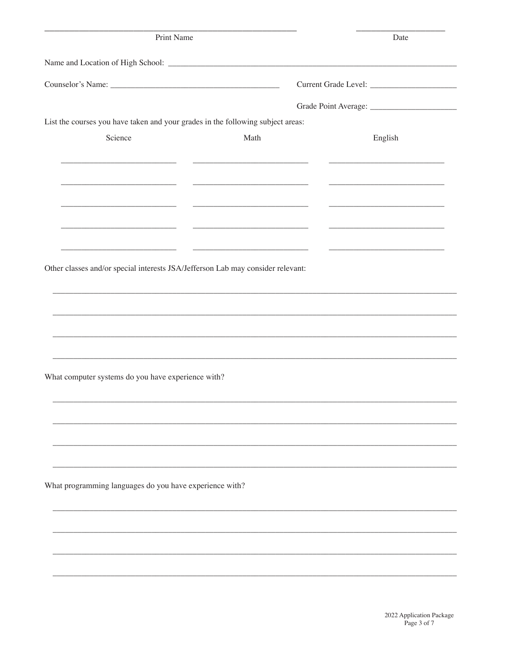| Print Name                                                                      |      | Date    |
|---------------------------------------------------------------------------------|------|---------|
|                                                                                 |      |         |
|                                                                                 |      |         |
|                                                                                 |      |         |
| List the courses you have taken and your grades in the following subject areas: |      |         |
| Science                                                                         | Math | English |
|                                                                                 |      |         |
|                                                                                 |      |         |
| <u> 1986 - Jan Barbarat, martin a</u>                                           |      |         |
| Other classes and/or special interests JSA/Jefferson Lab may consider relevant: |      |         |
|                                                                                 |      |         |
|                                                                                 |      |         |
|                                                                                 |      |         |
| What computer systems do you have experience with?                              |      |         |
|                                                                                 |      |         |
|                                                                                 |      |         |
|                                                                                 |      |         |
|                                                                                 |      |         |
| What programming languages do you have experience with?                         |      |         |
|                                                                                 |      |         |
|                                                                                 |      |         |
|                                                                                 |      |         |
|                                                                                 |      |         |
|                                                                                 |      |         |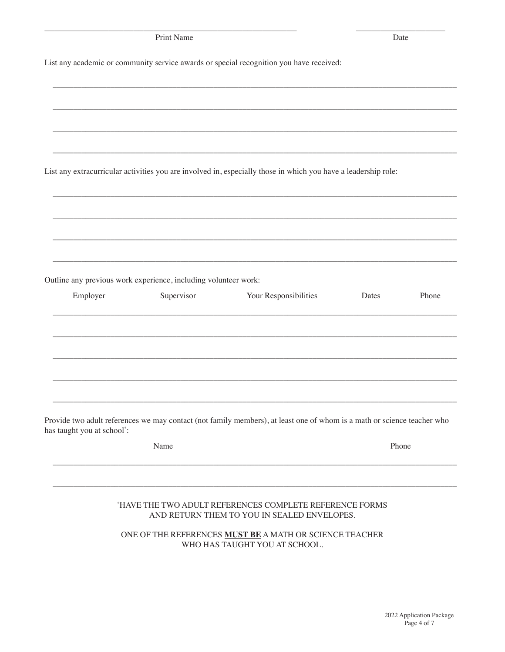|                            | Print Name                                                                    |                                                                                                                         | Date  |       |
|----------------------------|-------------------------------------------------------------------------------|-------------------------------------------------------------------------------------------------------------------------|-------|-------|
|                            |                                                                               | List any academic or community service awards or special recognition you have received:                                 |       |       |
|                            |                                                                               |                                                                                                                         |       |       |
|                            |                                                                               |                                                                                                                         |       |       |
|                            |                                                                               |                                                                                                                         |       |       |
|                            |                                                                               |                                                                                                                         |       |       |
|                            |                                                                               | List any extracurricular activities you are involved in, especially those in which you have a leadership role:          |       |       |
|                            |                                                                               |                                                                                                                         |       |       |
|                            |                                                                               |                                                                                                                         |       |       |
|                            |                                                                               |                                                                                                                         |       |       |
|                            |                                                                               |                                                                                                                         |       |       |
|                            |                                                                               |                                                                                                                         |       |       |
|                            |                                                                               |                                                                                                                         |       |       |
| Employer                   | Outline any previous work experience, including volunteer work:<br>Supervisor | Your Responsibilities                                                                                                   | Dates | Phone |
|                            |                                                                               |                                                                                                                         |       |       |
|                            |                                                                               |                                                                                                                         |       |       |
|                            |                                                                               |                                                                                                                         |       |       |
|                            |                                                                               |                                                                                                                         |       |       |
|                            |                                                                               |                                                                                                                         |       |       |
|                            |                                                                               | Provide two adult references we may contact (not family members), at least one of whom is a math or science teacher who |       |       |
| has taught you at school*: | Name                                                                          |                                                                                                                         | Phone |       |
|                            |                                                                               |                                                                                                                         |       |       |

AND RETURN THEM TO YOU IN SEALED ENVELOPES.

ONE OF THE REFERENCES MUST BE A MATH OR SCIENCE TEACHER WHO HAS TAUGHT YOU AT SCHOOL.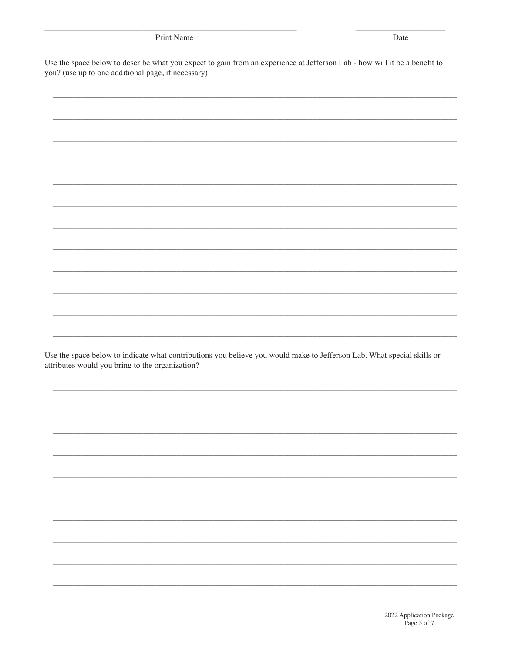Use the space below to describe what you expect to gain from an experience at Jefferson Lab - how will it be a benefit to you? (use up to one additional page, if necessary)

| Use the space below to indicate what contributions you believe you would make to Jefferson Lab. What special skills or |  |  |  |
|------------------------------------------------------------------------------------------------------------------------|--|--|--|
|                                                                                                                        |  |  |  |
|                                                                                                                        |  |  |  |
|                                                                                                                        |  |  |  |
|                                                                                                                        |  |  |  |
|                                                                                                                        |  |  |  |
|                                                                                                                        |  |  |  |
|                                                                                                                        |  |  |  |
|                                                                                                                        |  |  |  |
|                                                                                                                        |  |  |  |
|                                                                                                                        |  |  |  |
|                                                                                                                        |  |  |  |
|                                                                                                                        |  |  |  |
|                                                                                                                        |  |  |  |
|                                                                                                                        |  |  |  |
|                                                                                                                        |  |  |  |
|                                                                                                                        |  |  |  |
|                                                                                                                        |  |  |  |
|                                                                                                                        |  |  |  |
|                                                                                                                        |  |  |  |
|                                                                                                                        |  |  |  |
|                                                                                                                        |  |  |  |
|                                                                                                                        |  |  |  |
|                                                                                                                        |  |  |  |
|                                                                                                                        |  |  |  |
|                                                                                                                        |  |  |  |
|                                                                                                                        |  |  |  |
|                                                                                                                        |  |  |  |
|                                                                                                                        |  |  |  |
|                                                                                                                        |  |  |  |
| attributes would you bring to the organization?                                                                        |  |  |  |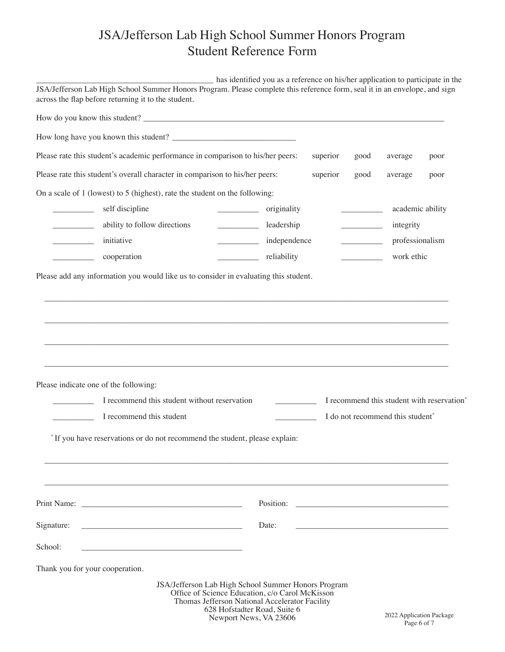## JSA/Jefferson Lab High School Summer Honors Program Student Reference Form

|                                                                                                                                                                                   | has identified you as a reference on his/her application to participate in the                                                                                                                                                                                                                                                                                                                                                                                                                       |          |      |                                              |      |
|-----------------------------------------------------------------------------------------------------------------------------------------------------------------------------------|------------------------------------------------------------------------------------------------------------------------------------------------------------------------------------------------------------------------------------------------------------------------------------------------------------------------------------------------------------------------------------------------------------------------------------------------------------------------------------------------------|----------|------|----------------------------------------------|------|
| JSA/Jefferson Lab High School Summer Honors Program. Please complete this reference form, seal it in an envelope, and sign<br>across the flap before returning it to the student. |                                                                                                                                                                                                                                                                                                                                                                                                                                                                                                      |          |      |                                              |      |
|                                                                                                                                                                                   |                                                                                                                                                                                                                                                                                                                                                                                                                                                                                                      |          |      |                                              |      |
|                                                                                                                                                                                   |                                                                                                                                                                                                                                                                                                                                                                                                                                                                                                      |          |      |                                              |      |
| Please rate this student's academic performance in comparison to his/her peers:                                                                                                   |                                                                                                                                                                                                                                                                                                                                                                                                                                                                                                      | superior | good | average                                      | poor |
| Please rate this student's overall character in comparison to his/her peers:                                                                                                      |                                                                                                                                                                                                                                                                                                                                                                                                                                                                                                      | superior | good | average                                      | poor |
| On a scale of 1 (lowest) to 5 (highest), rate the student on the following:                                                                                                       |                                                                                                                                                                                                                                                                                                                                                                                                                                                                                                      |          |      |                                              |      |
| self discipline                                                                                                                                                                   | originality                                                                                                                                                                                                                                                                                                                                                                                                                                                                                          |          |      | academic ability                             |      |
| ability to follow directions<br><u> 1989 - Johann Barnett, fransk politiker</u>                                                                                                   | leadership<br>$\begin{array}{cccccccccc} \multicolumn{2}{c}{} & \multicolumn{2}{c}{} & \multicolumn{2}{c}{} & \multicolumn{2}{c}{} & \multicolumn{2}{c}{} & \multicolumn{2}{c}{} & \multicolumn{2}{c}{} & \multicolumn{2}{c}{} & \multicolumn{2}{c}{} & \multicolumn{2}{c}{} & \multicolumn{2}{c}{} & \multicolumn{2}{c}{} & \multicolumn{2}{c}{} & \multicolumn{2}{c}{} & \multicolumn{2}{c}{} & \multicolumn{2}{c}{} & \multicolumn{2}{c}{} & \multicolumn{2}{c}{} & \multicolumn{2}{c}{} & \mult$ |          |      | integrity                                    |      |
| initiative                                                                                                                                                                        | independence                                                                                                                                                                                                                                                                                                                                                                                                                                                                                         |          |      | professionalism                              |      |
| cooperation<br>$\overline{\phantom{a}}$                                                                                                                                           | ______________ reliability                                                                                                                                                                                                                                                                                                                                                                                                                                                                           |          |      | work ethic                                   |      |
| Please add any information you would like us to consider in evaluating this student.                                                                                              |                                                                                                                                                                                                                                                                                                                                                                                                                                                                                                      |          |      |                                              |      |
|                                                                                                                                                                                   |                                                                                                                                                                                                                                                                                                                                                                                                                                                                                                      |          |      |                                              |      |
|                                                                                                                                                                                   |                                                                                                                                                                                                                                                                                                                                                                                                                                                                                                      |          |      |                                              |      |
|                                                                                                                                                                                   |                                                                                                                                                                                                                                                                                                                                                                                                                                                                                                      |          |      |                                              |      |
|                                                                                                                                                                                   |                                                                                                                                                                                                                                                                                                                                                                                                                                                                                                      |          |      |                                              |      |
|                                                                                                                                                                                   |                                                                                                                                                                                                                                                                                                                                                                                                                                                                                                      |          |      |                                              |      |
|                                                                                                                                                                                   |                                                                                                                                                                                                                                                                                                                                                                                                                                                                                                      |          |      |                                              |      |
| Please indicate one of the following:                                                                                                                                             |                                                                                                                                                                                                                                                                                                                                                                                                                                                                                                      |          |      |                                              |      |
| I recommend this student without reservation                                                                                                                                      |                                                                                                                                                                                                                                                                                                                                                                                                                                                                                                      |          |      | I recommend this student with reservation*   |      |
| I recommend this student                                                                                                                                                          |                                                                                                                                                                                                                                                                                                                                                                                                                                                                                                      |          |      | I do not recommend this student <sup>*</sup> |      |
|                                                                                                                                                                                   |                                                                                                                                                                                                                                                                                                                                                                                                                                                                                                      |          |      |                                              |      |
| *If you have reservations or do not recommend the student, please explain:                                                                                                        |                                                                                                                                                                                                                                                                                                                                                                                                                                                                                                      |          |      |                                              |      |
|                                                                                                                                                                                   |                                                                                                                                                                                                                                                                                                                                                                                                                                                                                                      |          |      |                                              |      |
|                                                                                                                                                                                   |                                                                                                                                                                                                                                                                                                                                                                                                                                                                                                      |          |      |                                              |      |
|                                                                                                                                                                                   |                                                                                                                                                                                                                                                                                                                                                                                                                                                                                                      |          |      |                                              |      |
|                                                                                                                                                                                   | Position:                                                                                                                                                                                                                                                                                                                                                                                                                                                                                            |          |      |                                              |      |
| Signature:                                                                                                                                                                        | Date:                                                                                                                                                                                                                                                                                                                                                                                                                                                                                                |          |      |                                              |      |
|                                                                                                                                                                                   |                                                                                                                                                                                                                                                                                                                                                                                                                                                                                                      |          |      |                                              |      |
| School:                                                                                                                                                                           |                                                                                                                                                                                                                                                                                                                                                                                                                                                                                                      |          |      |                                              |      |
| Thank you for your cooperation.                                                                                                                                                   |                                                                                                                                                                                                                                                                                                                                                                                                                                                                                                      |          |      |                                              |      |
| JSA/Jefferson Lab High School Summer Honors Program                                                                                                                               |                                                                                                                                                                                                                                                                                                                                                                                                                                                                                                      |          |      |                                              |      |
|                                                                                                                                                                                   | Office of Science Education, c/o Carol McKisson<br>Thomas Jefferson National Accelerator Facility                                                                                                                                                                                                                                                                                                                                                                                                    |          |      |                                              |      |
|                                                                                                                                                                                   | 628 Hofstadter Road, Suite 6                                                                                                                                                                                                                                                                                                                                                                                                                                                                         |          |      | 2022 Application Package                     |      |
|                                                                                                                                                                                   | Newport News, VA 23606                                                                                                                                                                                                                                                                                                                                                                                                                                                                               |          |      | Page 6 of 7                                  |      |